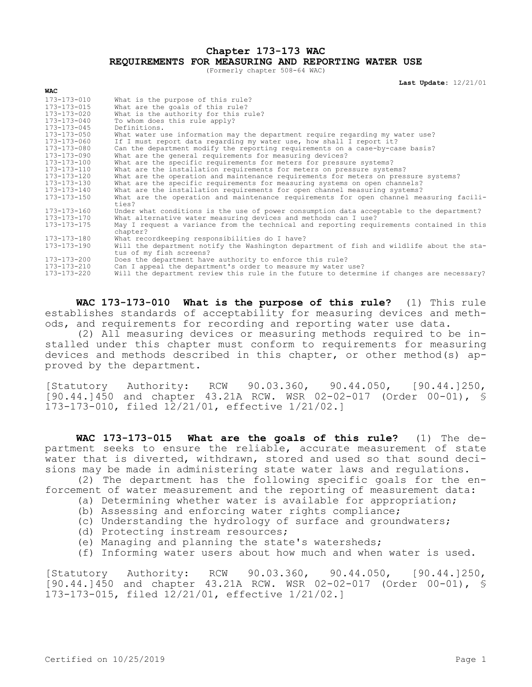## **Chapter 173-173 WAC REQUIREMENTS FOR MEASURING AND REPORTING WATER USE**

(Formerly chapter 508-64 WAC)

**Last Update:** 12/21/01

| wac               |                                                                                                                     |
|-------------------|---------------------------------------------------------------------------------------------------------------------|
| 173-173-010       | What is the purpose of this rule?                                                                                   |
| 173-173-015       | What are the goals of this rule?                                                                                    |
| $173 - 173 - 020$ | What is the authority for this rule?                                                                                |
| 173-173-040       | To whom does this rule apply?                                                                                       |
| 173-173-045       | Definitions.                                                                                                        |
| 173-173-050       | What water use information may the department require regarding my water use?                                       |
| 173-173-060       | If I must report data regarding my water use, how shall I report it?                                                |
| 173-173-080       | Can the department modify the reporting requirements on a case-by-case basis?                                       |
| 173-173-090       | What are the general requirements for measuring devices?                                                            |
| 173-173-100       | What are the specific requirements for meters for pressure systems?                                                 |
| 173-173-110       | What are the installation requirements for meters on pressure systems?                                              |
| 173-173-120       | What are the operation and maintenance requirements for meters on pressure systems?                                 |
| 173-173-130       | What are the specific requirements for measuring systems on open channels?                                          |
| 173-173-140       | What are the installation requirements for open channel measuring systems?                                          |
| 173-173-150       | What are the operation and maintenance requirements for open channel measuring facili-                              |
|                   | ties?                                                                                                               |
| 173-173-160       | Under what conditions is the use of power consumption data acceptable to the department?                            |
| 173-173-170       | What alternative water measuring devices and methods can I use?                                                     |
| 173-173-175       | May I request a variance from the technical and reporting requirements contained in this                            |
|                   | chapter?                                                                                                            |
| 173-173-180       | What recordkeeping responsibilities do I have?                                                                      |
| 173-173-190       | Will the department notify the Washington department of fish and wildlife about the sta-<br>tus of my fish screens? |
| 173-173-200       | Does the department have authority to enforce this rule?                                                            |
| 173-173-210       | Can I appeal the department's order to measure my water use?                                                        |
| 173-173-220       | Will the department review this rule in the future to determine if changes are necessary?                           |

**WAC 173-173-010 What is the purpose of this rule?** (1) This rule establishes standards of acceptability for measuring devices and methods, and requirements for recording and reporting water use data.

(2) All measuring devices or measuring methods required to be installed under this chapter must conform to requirements for measuring devices and methods described in this chapter, or other method(s) approved by the department.

[Statutory Authority: RCW 90.03.360, 90.44.050, [90.44.]250, [90.44.]450 and chapter 43.21A RCW. WSR 02-02-017 (Order 00-01), § 173-173-010, filed 12/21/01, effective 1/21/02.]

**WAC 173-173-015 What are the goals of this rule?** (1) The department seeks to ensure the reliable, accurate measurement of state water that is diverted, withdrawn, stored and used so that sound decisions may be made in administering state water laws and regulations.

(2) The department has the following specific goals for the enforcement of water measurement and the reporting of measurement data:

- (a) Determining whether water is available for appropriation;
- (b) Assessing and enforcing water rights compliance;
- (c) Understanding the hydrology of surface and groundwaters;
- (d) Protecting instream resources;
- (e) Managing and planning the state's watersheds;
- (f) Informing water users about how much and when water is used.

[Statutory Authority: RCW 90.03.360, 90.44.050, [90.44.]250, [90.44.]450 and chapter 43.21A RCW. WSR 02-02-017 (Order 00-01), § 173-173-015, filed 12/21/01, effective 1/21/02.]

**WAC**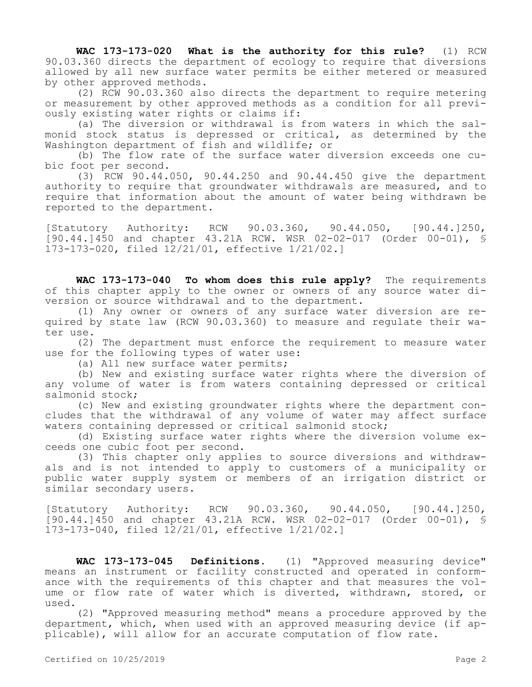**WAC 173-173-020 What is the authority for this rule?** (1) RCW 90.03.360 directs the department of ecology to require that diversions allowed by all new surface water permits be either metered or measured by other approved methods.

(2) RCW 90.03.360 also directs the department to require metering or measurement by other approved methods as a condition for all previously existing water rights or claims if:

(a) The diversion or withdrawal is from waters in which the salmonid stock status is depressed or critical, as determined by the Washington department of fish and wildlife; or

(b) The flow rate of the surface water diversion exceeds one cubic foot per second.

(3) RCW 90.44.050, 90.44.250 and 90.44.450 give the department authority to require that groundwater withdrawals are measured, and to require that information about the amount of water being withdrawn be reported to the department.

[Statutory Authority: RCW 90.03.360, 90.44.050, [90.44.]250, [90.44.]450 and chapter 43.21A RCW. WSR 02-02-017 (Order 00-01), § 173-173-020, filed 12/21/01, effective 1/21/02.]

**WAC 173-173-040 To whom does this rule apply?** The requirements of this chapter apply to the owner or owners of any source water diversion or source withdrawal and to the department.

(1) Any owner or owners of any surface water diversion are required by state law (RCW 90.03.360) to measure and regulate their water use.

(2) The department must enforce the requirement to measure water use for the following types of water use:

(a) All new surface water permits;

(b) New and existing surface water rights where the diversion of any volume of water is from waters containing depressed or critical salmonid stock;

(c) New and existing groundwater rights where the department concludes that the withdrawal of any volume of water may affect surface waters containing depressed or critical salmonid stock;

(d) Existing surface water rights where the diversion volume exceeds one cubic foot per second.

(3) This chapter only applies to source diversions and withdrawals and is not intended to apply to customers of a municipality or public water supply system or members of an irrigation district or similar secondary users.

[Statutory Authority: RCW 90.03.360, 90.44.050, [90.44.]250, [90.44.]450 and chapter 43.21A RCW. WSR 02-02-017 (Order 00-01), § 173-173-040, filed 12/21/01, effective 1/21/02.]

**WAC 173-173-045 Definitions.** (1) "Approved measuring device" means an instrument or facility constructed and operated in conformance with the requirements of this chapter and that measures the volume or flow rate of water which is diverted, withdrawn, stored, or used.

(2) "Approved measuring method" means a procedure approved by the department, which, when used with an approved measuring device (if applicable), will allow for an accurate computation of flow rate.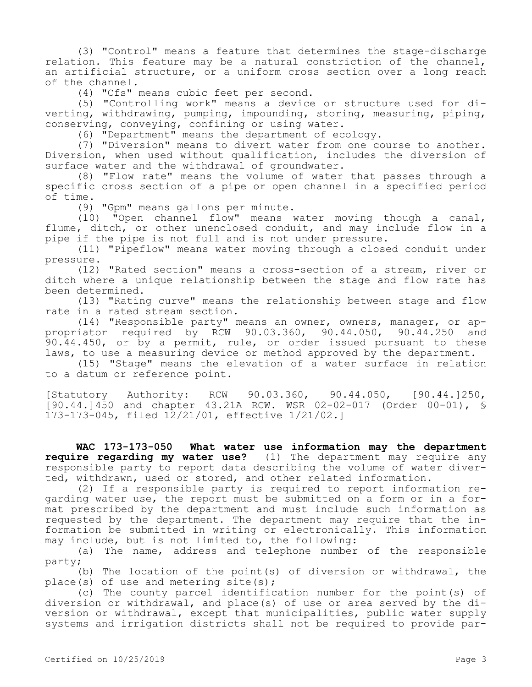(3) "Control" means a feature that determines the stage-discharge relation. This feature may be a natural constriction of the channel, an artificial structure, or a uniform cross section over a long reach of the channel.

(4) "Cfs" means cubic feet per second.

(5) "Controlling work" means a device or structure used for diverting, withdrawing, pumping, impounding, storing, measuring, piping, conserving, conveying, confining or using water.

(6) "Department" means the department of ecology.

(7) "Diversion" means to divert water from one course to another. Diversion, when used without qualification, includes the diversion of surface water and the withdrawal of groundwater.

(8) "Flow rate" means the volume of water that passes through a specific cross section of a pipe or open channel in a specified period of time.

(9) "Gpm" means gallons per minute.

(10) "Open channel flow" means water moving though a canal, flume, ditch, or other unenclosed conduit, and may include flow in a pipe if the pipe is not full and is not under pressure.

(11) "Pipeflow" means water moving through a closed conduit under pressure.

(12) "Rated section" means a cross-section of a stream, river or ditch where a unique relationship between the stage and flow rate has been determined.

(13) "Rating curve" means the relationship between stage and flow rate in a rated stream section.

(14) "Responsible party" means an owner, owners, manager, or appropriator required by RCW 90.03.360, 90.44.050, 90.44.250 and 90.44.450, or by a permit, rule, or order issued pursuant to these laws, to use a measuring device or method approved by the department.

(15) "Stage" means the elevation of a water surface in relation to a datum or reference point.

[Statutory Authority: RCW 90.03.360, 90.44.050, [90.44.]250, [90.44.]450 and chapter 43.21A RCW. WSR 02-02-017 (Order 00-01), § 173-173-045, filed 12/21/01, effective 1/21/02.]

**WAC 173-173-050 What water use information may the department require regarding my water use?** (1) The department may require any responsible party to report data describing the volume of water diverted, withdrawn, used or stored, and other related information.

(2) If a responsible party is required to report information regarding water use, the report must be submitted on a form or in a format prescribed by the department and must include such information as requested by the department. The department may require that the information be submitted in writing or electronically. This information may include, but is not limited to, the following:

(a) The name, address and telephone number of the responsible party;

(b) The location of the point(s) of diversion or withdrawal, the place(s) of use and metering site(s);

(c) The county parcel identification number for the point(s) of diversion or withdrawal, and place(s) of use or area served by the diversion or withdrawal, except that municipalities, public water supply systems and irrigation districts shall not be required to provide par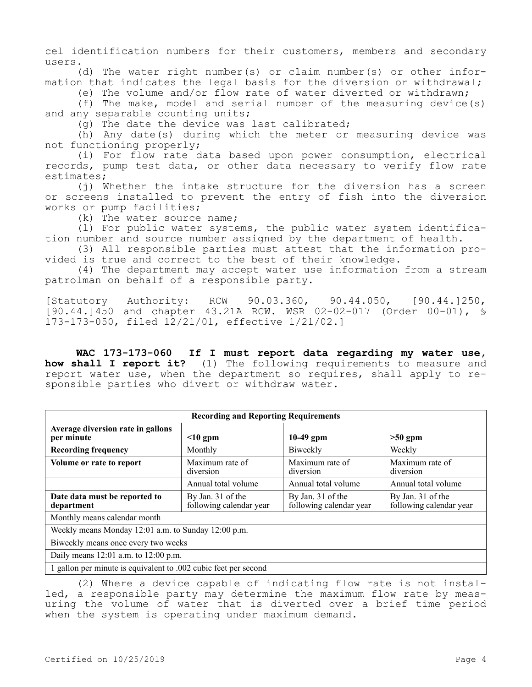cel identification numbers for their customers, members and secondary users.

(d) The water right number(s) or claim number(s) or other information that indicates the legal basis for the diversion or withdrawal;

(e) The volume and/or flow rate of water diverted or withdrawn;

(f) The make, model and serial number of the measuring device(s) and any separable counting units;

(g) The date the device was last calibrated;

(h) Any date(s) during which the meter or measuring device was not functioning properly;

(i) For flow rate data based upon power consumption, electrical records, pump test data, or other data necessary to verify flow rate estimates;

(j) Whether the intake structure for the diversion has a screen or screens installed to prevent the entry of fish into the diversion works or pump facilities;

(k) The water source name;

(l) For public water systems, the public water system identification number and source number assigned by the department of health.

(3) All responsible parties must attest that the information provided is true and correct to the best of their knowledge.

(4) The department may accept water use information from a stream patrolman on behalf of a responsible party.

[Statutory Authority: RCW 90.03.360, 90.44.050, [90.44.]250, [90.44.]450 and chapter 43.21A RCW. WSR 02-02-017 (Order 00-01), § 173-173-050, filed 12/21/01, effective 1/21/02.]

**WAC 173-173-060 If I must report data regarding my water use, how shall I report it?** (1) The following requirements to measure and report water use, when the department so requires, shall apply to responsible parties who divert or withdraw water.

| <b>Recording and Reporting Requirements</b>                     |                                              |                                              |                                              |  |
|-----------------------------------------------------------------|----------------------------------------------|----------------------------------------------|----------------------------------------------|--|
| Average diversion rate in gallons<br>per minute                 | $\leq 10$ gpm                                | $10-49$ gpm                                  | $>50$ gpm                                    |  |
| <b>Recording frequency</b>                                      | Monthly                                      | Biweekly                                     | Weekly                                       |  |
| Volume or rate to report                                        | Maximum rate of<br>diversion                 | Maximum rate of<br>diversion                 | Maximum rate of<br>diversion                 |  |
|                                                                 | Annual total volume                          | Annual total volume                          | Annual total volume                          |  |
| Date data must be reported to<br>department                     | By Jan. 31 of the<br>following calendar year | By Jan. 31 of the<br>following calendar year | By Jan. 31 of the<br>following calendar year |  |
| Monthly means calendar month                                    |                                              |                                              |                                              |  |
| Weekly means Monday 12:01 a.m. to Sunday 12:00 p.m.             |                                              |                                              |                                              |  |
| Biweekly means once every two weeks                             |                                              |                                              |                                              |  |
| Daily means 12:01 a.m. to 12:00 p.m.                            |                                              |                                              |                                              |  |
| 1 gallon per minute is equivalent to .002 cubic feet per second |                                              |                                              |                                              |  |

(2) Where a device capable of indicating flow rate is not installed, a responsible party may determine the maximum flow rate by measuring the volume of water that is diverted over a brief time period when the system is operating under maximum demand.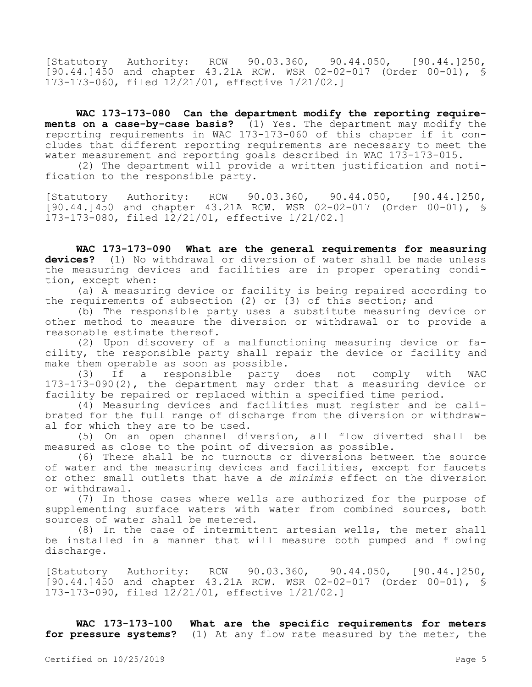[Statutory Authority: RCW 90.03.360, 90.44.050, [90.44.1250, [90.44.]450 and chapter 43.21A RCW. WSR 02-02-017 (Order 00-01), § 173-173-060, filed 12/21/01, effective 1/21/02.]

**WAC 173-173-080 Can the department modify the reporting requirements on a case-by-case basis?** (1) Yes. The department may modify the reporting requirements in WAC 173-173-060 of this chapter if it concludes that different reporting requirements are necessary to meet the water measurement and reporting goals described in WAC 173-173-015.

(2) The department will provide a written justification and notification to the responsible party.

[Statutory Authority: RCW 90.03.360, 90.44.050, [90.44.]250, [90.44.]450 and chapter 43.21A RCW. WSR 02-02-017 (Order 00-01), § 173-173-080, filed 12/21/01, effective 1/21/02.]

**WAC 173-173-090 What are the general requirements for measuring devices?** (1) No withdrawal or diversion of water shall be made unless the measuring devices and facilities are in proper operating condition, except when:

(a) A measuring device or facility is being repaired according to the requirements of subsection (2) or  $(3)$  of this section; and

(b) The responsible party uses a substitute measuring device or other method to measure the diversion or withdrawal or to provide a reasonable estimate thereof.

(2) Upon discovery of a malfunctioning measuring device or facility, the responsible party shall repair the device or facility and make them operable as soon as possible.

(3) If a responsible party does not comply with WAC 173-173-090(2), the department may order that a measuring device or facility be repaired or replaced within a specified time period.

(4) Measuring devices and facilities must register and be calibrated for the full range of discharge from the diversion or withdrawal for which they are to be used.

(5) On an open channel diversion, all flow diverted shall be measured as close to the point of diversion as possible.

(6) There shall be no turnouts or diversions between the source of water and the measuring devices and facilities, except for faucets or other small outlets that have a *de minimis* effect on the diversion or withdrawal.

(7) In those cases where wells are authorized for the purpose of supplementing surface waters with water from combined sources, both sources of water shall be metered.

(8) In the case of intermittent artesian wells, the meter shall be installed in a manner that will measure both pumped and flowing discharge.

[Statutory Authority: RCW 90.03.360, 90.44.050, [90.44.]250, [90.44.]450 and chapter 43.21A RCW. WSR 02-02-017 (Order 00-01), § 173-173-090, filed 12/21/01, effective 1/21/02.]

**WAC 173-173-100 What are the specific requirements for meters for pressure systems?** (1) At any flow rate measured by the meter, the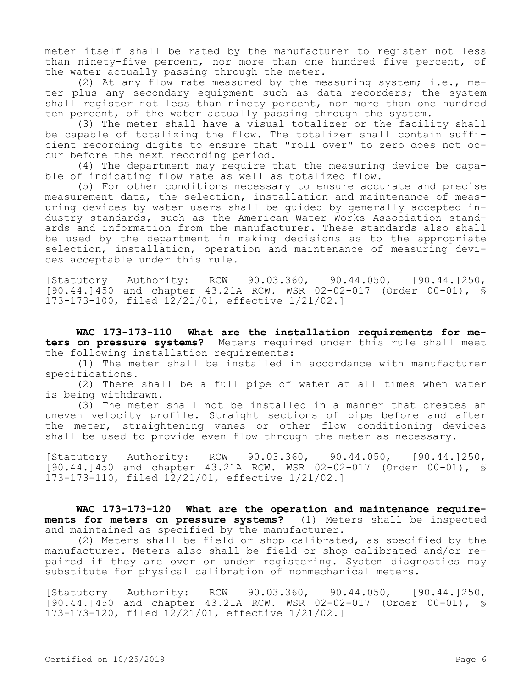meter itself shall be rated by the manufacturer to register not less than ninety-five percent, nor more than one hundred five percent, of the water actually passing through the meter.

(2) At any flow rate measured by the measuring system; i.e., meter plus any secondary equipment such as data recorders; the system shall register not less than ninety percent, nor more than one hundred ten percent, of the water actually passing through the system.

(3) The meter shall have a visual totalizer or the facility shall be capable of totalizing the flow. The totalizer shall contain sufficient recording digits to ensure that "roll over" to zero does not occur before the next recording period.

(4) The department may require that the measuring device be capable of indicating flow rate as well as totalized flow.

(5) For other conditions necessary to ensure accurate and precise measurement data, the selection, installation and maintenance of measuring devices by water users shall be guided by generally accepted industry standards, such as the American Water Works Association standards and information from the manufacturer. These standards also shall be used by the department in making decisions as to the appropriate selection, installation, operation and maintenance of measuring devices acceptable under this rule.

[Statutory Authority: RCW 90.03.360, 90.44.050, [90.44.]250, [90.44.]450 and chapter 43.21A RCW. WSR 02-02-017 (Order 00-01), § 173-173-100, filed 12/21/01, effective 1/21/02.]

**WAC 173-173-110 What are the installation requirements for meters on pressure systems?** Meters required under this rule shall meet the following installation requirements:

(1) The meter shall be installed in accordance with manufacturer specifications.

(2) There shall be a full pipe of water at all times when water is being withdrawn.

(3) The meter shall not be installed in a manner that creates an uneven velocity profile. Straight sections of pipe before and after the meter, straightening vanes or other flow conditioning devices shall be used to provide even flow through the meter as necessary.

[Statutory Authority: RCW 90.03.360, 90.44.050, [90.44.]250, [90.44.]450 and chapter 43.21A RCW. WSR 02-02-017 (Order 00-01), § 173-173-110, filed 12/21/01, effective 1/21/02.]

**WAC 173-173-120 What are the operation and maintenance requirements for meters on pressure systems?** (1) Meters shall be inspected and maintained as specified by the manufacturer.

(2) Meters shall be field or shop calibrated, as specified by the manufacturer. Meters also shall be field or shop calibrated and/or repaired if they are over or under registering. System diagnostics may substitute for physical calibration of nonmechanical meters.

[Statutory Authority: RCW 90.03.360, 90.44.050, [90.44.]250, [90.44.]450 and chapter 43.21A RCW. WSR 02-02-017 (Order 00-01), § 173-173-120, filed 12/21/01, effective 1/21/02.]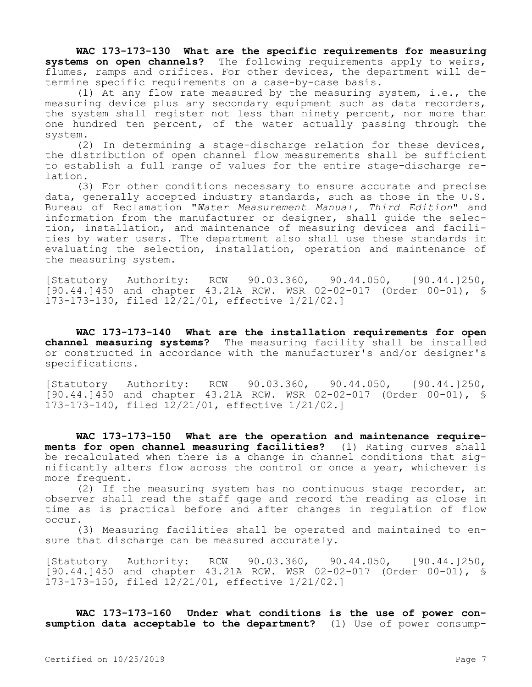**WAC 173-173-130 What are the specific requirements for measuring systems on open channels?** The following requirements apply to weirs, flumes, ramps and orifices. For other devices, the department will determine specific requirements on a case-by-case basis.

(1) At any flow rate measured by the measuring system, i.e., the measuring device plus any secondary equipment such as data recorders, the system shall register not less than ninety percent, nor more than one hundred ten percent, of the water actually passing through the system.

(2) In determining a stage-discharge relation for these devices, the distribution of open channel flow measurements shall be sufficient to establish a full range of values for the entire stage-discharge relation.

(3) For other conditions necessary to ensure accurate and precise data, generally accepted industry standards, such as those in the U.S. Bureau of Reclamation "*Water Measurement Manual, Third Edition*" and information from the manufacturer or designer, shall guide the selection, installation, and maintenance of measuring devices and facilities by water users. The department also shall use these standards in evaluating the selection, installation, operation and maintenance of the measuring system.

[Statutory Authority: RCW 90.03.360, 90.44.050, [90.44.]250, [90.44.]450 and chapter 43.21A RCW. WSR 02-02-017 (Order 00-01), § 173-173-130, filed 12/21/01, effective 1/21/02.]

**WAC 173-173-140 What are the installation requirements for open channel measuring systems?** The measuring facility shall be installed or constructed in accordance with the manufacturer's and/or designer's specifications.

[Statutory Authority: RCW 90.03.360, 90.44.050, [90.44.]250, [90.44.]450 and chapter 43.21A RCW. WSR 02-02-017 (Order 00-01), § 173-173-140, filed 12/21/01, effective 1/21/02.]

**WAC 173-173-150 What are the operation and maintenance requirements for open channel measuring facilities?** (1) Rating curves shall be recalculated when there is a change in channel conditions that significantly alters flow across the control or once a year, whichever is more frequent.

(2) If the measuring system has no continuous stage recorder, an observer shall read the staff gage and record the reading as close in time as is practical before and after changes in regulation of flow occur.

(3) Measuring facilities shall be operated and maintained to ensure that discharge can be measured accurately.

[Statutory Authority: RCW 90.03.360, 90.44.050, [90.44.]250, [90.44.]450 and chapter 43.21A RCW. WSR 02-02-017 (Order 00-01), § 173-173-150, filed 12/21/01, effective 1/21/02.]

**WAC 173-173-160 Under what conditions is the use of power consumption data acceptable to the department?** (1) Use of power consump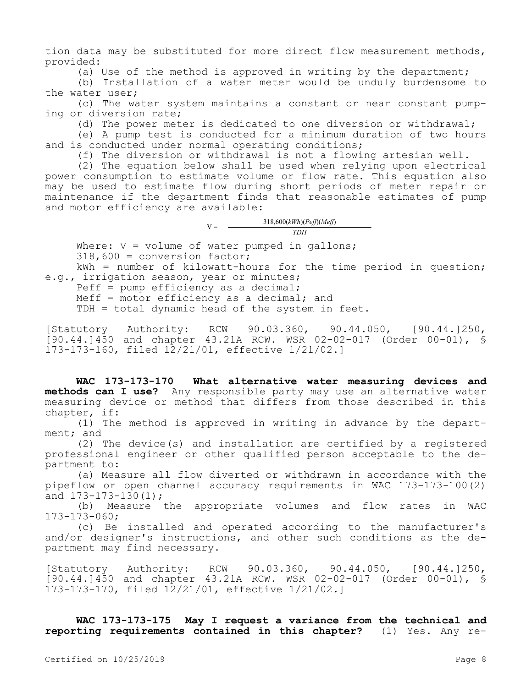tion data may be substituted for more direct flow measurement methods, provided:

(a) Use of the method is approved in writing by the department;

(b) Installation of a water meter would be unduly burdensome to the water user;

(c) The water system maintains a constant or near constant pumping or diversion rate;

(d) The power meter is dedicated to one diversion or withdrawal;

(e) A pump test is conducted for a minimum duration of two hours and is conducted under normal operating conditions;

(f) The diversion or withdrawal is not a flowing artesian well.

(2) The equation below shall be used when relying upon electrical power consumption to estimate volume or flow rate. This equation also may be used to estimate flow during short periods of meter repair or maintenance if the department finds that reasonable estimates of pump and motor efficiency are available:

> $V = \frac{318,600(kWh)(Peff)(Meff)}{mv}$ *TDH*

Where:  $V = volume$  of water pumped in gallons; 318,600 = conversion factor;

kWh = number of kilowatt-hours for the time period in question; e.g., irrigation season, year or minutes;

Peff = pump efficiency as a decimal;

Meff = motor efficiency as a decimal; and

TDH = total dynamic head of the system in feet.

[Statutory Authority: RCW 90.03.360, 90.44.050, [90.44.]250, [90.44.]450 and chapter 43.21A RCW. WSR 02-02-017 (Order 00-01), § 173-173-160, filed 12/21/01, effective 1/21/02.]

**WAC 173-173-170 What alternative water measuring devices and methods can I use?** Any responsible party may use an alternative water measuring device or method that differs from those described in this chapter, if:

(1) The method is approved in writing in advance by the department; and

(2) The device(s) and installation are certified by a registered professional engineer or other qualified person acceptable to the department to:

(a) Measure all flow diverted or withdrawn in accordance with the pipeflow or open channel accuracy requirements in WAC 173-173-100(2) and 173-173-130(1);

(b) Measure the appropriate volumes and flow rates in WAC 173-173-060;

(c) Be installed and operated according to the manufacturer's and/or designer's instructions, and other such conditions as the department may find necessary.

[Statutory Authority: RCW 90.03.360, 90.44.050, [90.44.]250, [90.44.]450 and chapter 43.21A RCW. WSR 02-02-017 (Order 00-01), § 173-173-170, filed 12/21/01, effective 1/21/02.]

**WAC 173-173-175 May I request a variance from the technical and reporting requirements contained in this chapter?** (1) Yes. Any re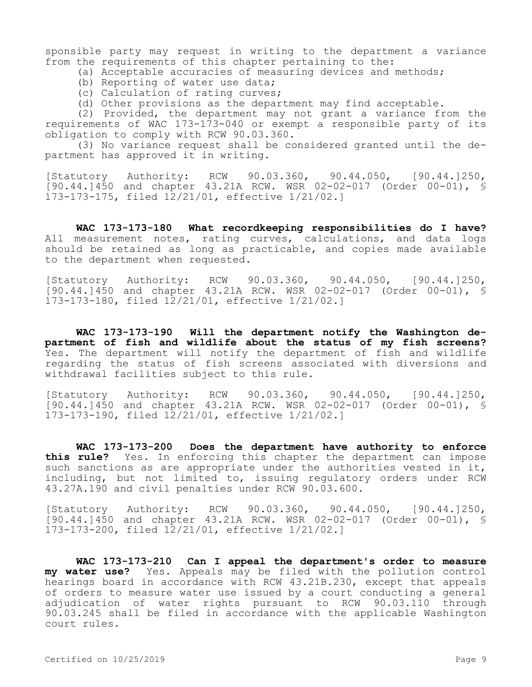sponsible party may request in writing to the department a variance from the requirements of this chapter pertaining to the:

- (a) Acceptable accuracies of measuring devices and methods;
- (b) Reporting of water use data;
- (c) Calculation of rating curves;
- (d) Other provisions as the department may find acceptable.

(2) Provided, the department may not grant a variance from the requirements of WAC 173-173-040 or exempt a responsible party of its obligation to comply with RCW 90.03.360.

(3) No variance request shall be considered granted until the department has approved it in writing.

[Statutory Authority: RCW 90.03.360, 90.44.050, [90.44.]250, [90.44.]450 and chapter 43.21A RCW. WSR 02-02-017 (Order 00-01), § 173-173-175, filed 12/21/01, effective 1/21/02.]

**WAC 173-173-180 What recordkeeping responsibilities do I have?**  All measurement notes, rating curves, calculations, and data logs should be retained as long as practicable, and copies made available to the department when requested.

[Statutory Authority: RCW 90.03.360, 90.44.050, [90.44.]250, [90.44.]450 and chapter 43.21A RCW. WSR 02-02-017 (Order 00-01), § 173-173-180, filed 12/21/01, effective 1/21/02.]

**WAC 173-173-190 Will the department notify the Washington department of fish and wildlife about the status of my fish screens?**  Yes. The department will notify the department of fish and wildlife regarding the status of fish screens associated with diversions and withdrawal facilities subject to this rule.

[Statutory Authority: RCW 90.03.360, 90.44.050, [90.44.]250, [90.44.]450 and chapter 43.21A RCW. WSR 02-02-017 (Order 00-01), § 173-173-190, filed 12/21/01, effective 1/21/02.]

**WAC 173-173-200 Does the department have authority to enforce this rule?** Yes. In enforcing this chapter the department can impose such sanctions as are appropriate under the authorities vested in it, including, but not limited to, issuing regulatory orders under RCW 43.27A.190 and civil penalties under RCW 90.03.600.

[Statutory Authority: RCW 90.03.360, 90.44.050, [90.44.]250, [90.44.]450 and chapter 43.21A RCW. WSR 02-02-017 (Order 00-01), § 173-173-200, filed 12/21/01, effective 1/21/02.]

**WAC 173-173-210 Can I appeal the department's order to measure my water use?** Yes. Appeals may be filed with the pollution control hearings board in accordance with RCW 43.21B.230, except that appeals of orders to measure water use issued by a court conducting a general adjudication of water rights pursuant to RCW 90.03.110 through 90.03.245 shall be filed in accordance with the applicable Washington court rules.